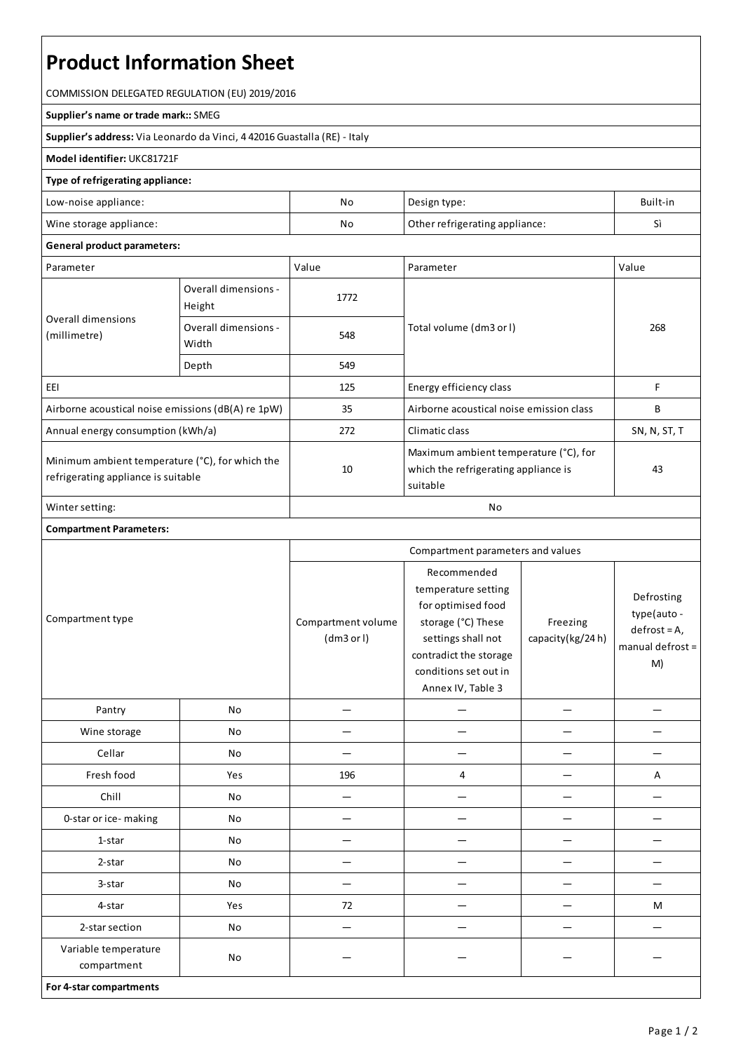# **Product Information Sheet**

COMMISSION DELEGATED REGULATION (EU) 2019/2016

#### **Supplier's name or trade mark::**SMEG

**Supplier's address:** ViaLeonardo da Vinci, 4 42016 Guastalla(RE) - Italy

### **Model identifier:** UKC81721F

## **Type of refrigerating appliance:**

| Low-noise appliance:    | No | Design type:                   | Built-in          |
|-------------------------|----|--------------------------------|-------------------|
| Wine storage appliance: | No | Other refrigerating appliance: | $\mathbf{r}$<br>◡ |

#### **General product parameters:**

| Parameter                                                                              |                                | Value | Parameter                                                                                 | Value        |
|----------------------------------------------------------------------------------------|--------------------------------|-------|-------------------------------------------------------------------------------------------|--------------|
| Overall dimensions<br>(millimetre)                                                     | Overall dimensions -<br>Height | 1772  |                                                                                           | 268          |
|                                                                                        | Overall dimensions -<br>Width  | 548   | Total volume (dm3 or l)                                                                   |              |
|                                                                                        | Depth                          | 549   |                                                                                           |              |
| EEI                                                                                    |                                | 125   | Energy efficiency class                                                                   | F            |
| Airborne acoustical noise emissions (dB(A) re 1pW)                                     |                                | 35    | Airborne acoustical noise emission class                                                  | B            |
| Annual energy consumption (kWh/a)                                                      |                                | 272   | Climatic class                                                                            | SN, N, ST, T |
| Minimum ambient temperature (°C), for which the<br>refrigerating appliance is suitable |                                | 10    | Maximum ambient temperature (°C), for<br>which the refrigerating appliance is<br>suitable | 43           |
| Winter setting:                                                                        |                                | No    |                                                                                           |              |

# **Compartment Parameters:**

| Compartment type                    |     | Compartment parameters and values |                                                                                                                                                                              |                              |                                                                         |
|-------------------------------------|-----|-----------------------------------|------------------------------------------------------------------------------------------------------------------------------------------------------------------------------|------------------------------|-------------------------------------------------------------------------|
|                                     |     | Compartment volume<br>(dm3 or l)  | Recommended<br>temperature setting<br>for optimised food<br>storage (°C) These<br>settings shall not<br>contradict the storage<br>conditions set out in<br>Annex IV, Table 3 | Freezing<br>capacity(kg/24h) | Defrosting<br>type(auto -<br>$defrost = A,$<br>manual defrost $=$<br>M) |
| Pantry                              | No  |                                   |                                                                                                                                                                              |                              |                                                                         |
| Wine storage                        | No  |                                   |                                                                                                                                                                              |                              |                                                                         |
| Cellar                              | No  |                                   |                                                                                                                                                                              |                              |                                                                         |
| Fresh food                          | Yes | 196                               | 4                                                                                                                                                                            |                              | А                                                                       |
| Chill                               | No  | -                                 |                                                                                                                                                                              |                              |                                                                         |
| 0-star or ice-making                | No  |                                   |                                                                                                                                                                              |                              |                                                                         |
| 1-star                              | No  |                                   |                                                                                                                                                                              |                              |                                                                         |
| 2-star                              | No  |                                   |                                                                                                                                                                              |                              |                                                                         |
| 3-star                              | No  |                                   |                                                                                                                                                                              |                              |                                                                         |
| 4-star                              | Yes | 72                                |                                                                                                                                                                              |                              | M                                                                       |
| 2-star section                      | No  |                                   |                                                                                                                                                                              |                              |                                                                         |
| Variable temperature<br>compartment | No  |                                   |                                                                                                                                                                              |                              |                                                                         |
| For 4-star compartments             |     |                                   |                                                                                                                                                                              |                              |                                                                         |